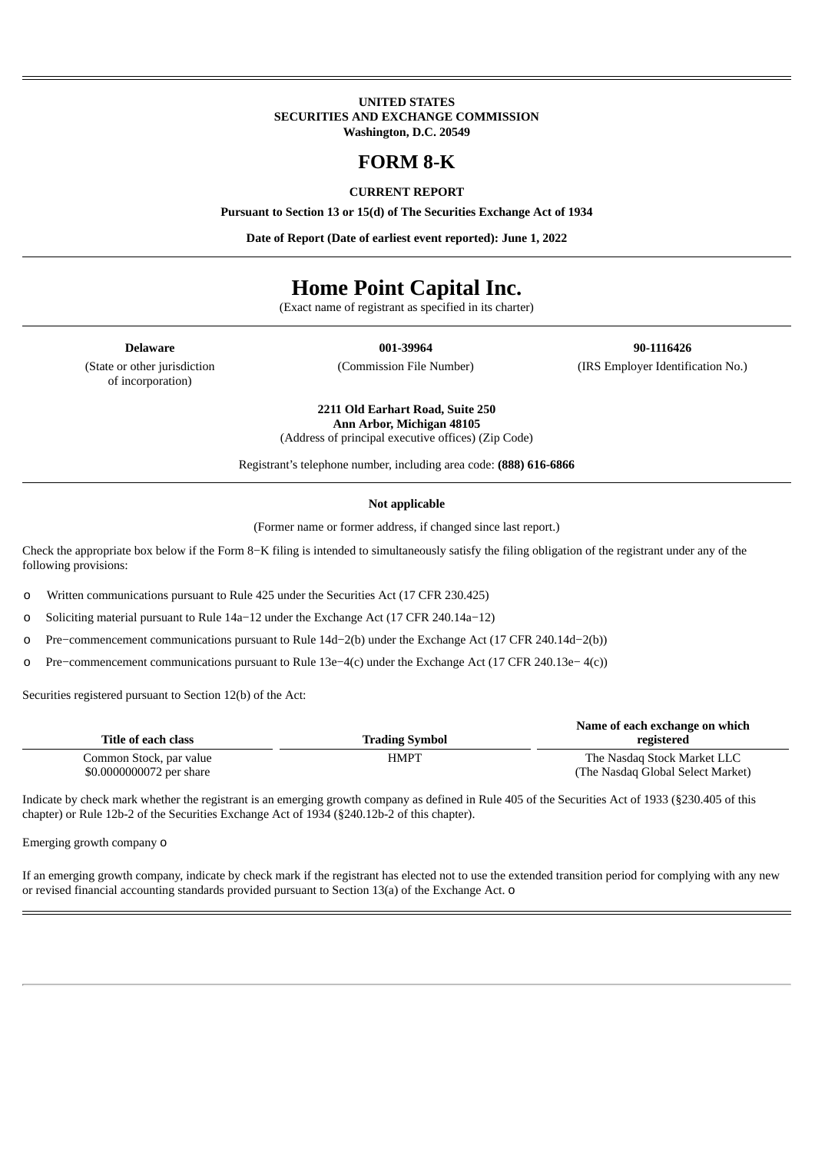#### **UNITED STATES SECURITIES AND EXCHANGE COMMISSION Washington, D.C. 20549**

## **FORM 8-K**

#### **CURRENT REPORT**

**Pursuant to Section 13 or 15(d) of The Securities Exchange Act of 1934**

**Date of Report (Date of earliest event reported): June 1, 2022**

# **Home Point Capital Inc.**

(Exact name of registrant as specified in its charter)

(State or other jurisdiction of incorporation)

**Delaware 001-39964 90-1116426** (Commission File Number) (IRS Employer Identification No.)

> **2211 Old Earhart Road, Suite 250 Ann Arbor, Michigan 48105** (Address of principal executive offices) (Zip Code)

Registrant's telephone number, including area code: **(888) 616-6866**

#### **Not applicable**

(Former name or former address, if changed since last report.)

Check the appropriate box below if the Form 8−K filing is intended to simultaneously satisfy the filing obligation of the registrant under any of the following provisions:

o Written communications pursuant to Rule 425 under the Securities Act (17 CFR 230.425)

o Soliciting material pursuant to Rule 14a−12 under the Exchange Act (17 CFR 240.14a−12)

o Pre−commencement communications pursuant to Rule 14d−2(b) under the Exchange Act (17 CFR 240.14d−2(b))

o Pre−commencement communications pursuant to Rule 13e−4(c) under the Exchange Act (17 CFR 240.13e− 4(c))

Securities registered pursuant to Section 12(b) of the Act:

| Title of each class                                 | <b>Trading Symbol</b> | Name of each exchange on which<br>registered                     |
|-----------------------------------------------------|-----------------------|------------------------------------------------------------------|
| Common Stock, par value<br>\$0.0000000072 per share | HMPT                  | The Nasdag Stock Market LLC<br>(The Nasdaq Global Select Market) |

Indicate by check mark whether the registrant is an emerging growth company as defined in Rule 405 of the Securities Act of 1933 (§230.405 of this chapter) or Rule 12b-2 of the Securities Exchange Act of 1934 (§240.12b-2 of this chapter).

Emerging growth company o

If an emerging growth company, indicate by check mark if the registrant has elected not to use the extended transition period for complying with any new or revised financial accounting standards provided pursuant to Section 13(a) of the Exchange Act. o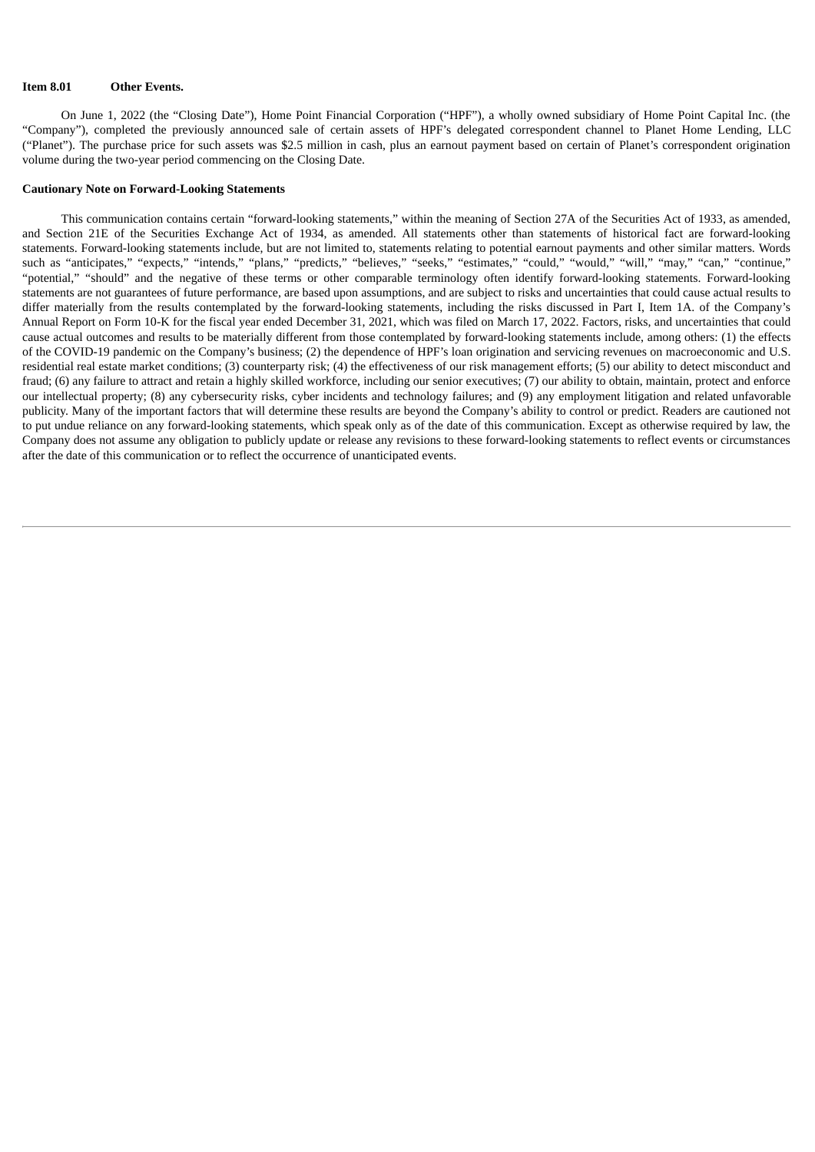#### **Item 8.01 Other Events.**

On June 1, 2022 (the "Closing Date"), Home Point Financial Corporation ("HPF"), a wholly owned subsidiary of Home Point Capital Inc. (the "Company"), completed the previously announced sale of certain assets of HPF's delegated correspondent channel to Planet Home Lending, LLC ("Planet"). The purchase price for such assets was \$2.5 million in cash, plus an earnout payment based on certain of Planet's correspondent origination volume during the two-year period commencing on the Closing Date.

#### **Cautionary Note on Forward-Looking Statements**

This communication contains certain "forward-looking statements," within the meaning of Section 27A of the Securities Act of 1933, as amended, and Section 21E of the Securities Exchange Act of 1934, as amended. All statements other than statements of historical fact are forward-looking statements. Forward-looking statements include, but are not limited to, statements relating to potential earnout payments and other similar matters. Words such as "anticipates," "expects," "intends," "plans," "predicts," "believes," "seeks," "estimates," "could," "would," "will," "may," "can," "continue," "potential," "should" and the negative of these terms or other comparable terminology often identify forward-looking statements. Forward-looking statements are not guarantees of future performance, are based upon assumptions, and are subject to risks and uncertainties that could cause actual results to differ materially from the results contemplated by the forward-looking statements, including the risks discussed in Part I, Item 1A. of the Company's Annual Report on Form 10-K for the fiscal year ended December 31, 2021, which was filed on March 17, 2022. Factors, risks, and uncertainties that could cause actual outcomes and results to be materially different from those contemplated by forward-looking statements include, among others: (1) the effects of the COVID-19 pandemic on the Company's business; (2) the dependence of HPF's loan origination and servicing revenues on macroeconomic and U.S. residential real estate market conditions; (3) counterparty risk; (4) the effectiveness of our risk management efforts; (5) our ability to detect misconduct and fraud; (6) any failure to attract and retain a highly skilled workforce, including our senior executives; (7) our ability to obtain, maintain, protect and enforce our intellectual property; (8) any cybersecurity risks, cyber incidents and technology failures; and (9) any employment litigation and related unfavorable publicity. Many of the important factors that will determine these results are beyond the Company's ability to control or predict. Readers are cautioned not to put undue reliance on any forward-looking statements, which speak only as of the date of this communication. Except as otherwise required by law, the Company does not assume any obligation to publicly update or release any revisions to these forward-looking statements to reflect events or circumstances after the date of this communication or to reflect the occurrence of unanticipated events.